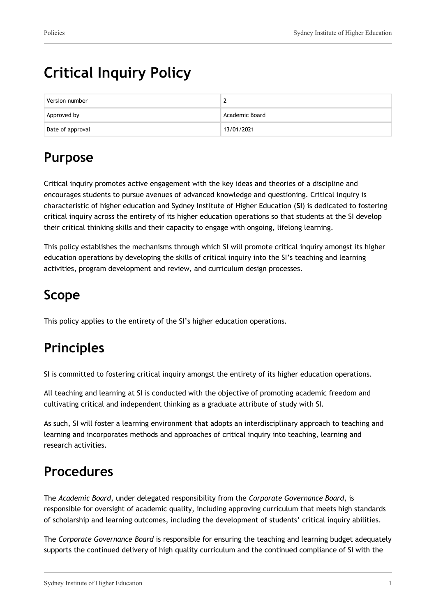# **Critical Inquiry Policy**

| Version number   |                |
|------------------|----------------|
| Approved by      | Academic Board |
| Date of approval | 13/01/2021     |

## **Purpose**

Critical inquiry promotes active engagement with the key ideas and theories of a discipline and encourages students to pursue avenues of advanced knowledge and questioning. Critical inquiry is characteristic of higher education and Sydney Institute of Higher Education (**SI**) is dedicated to fostering critical inquiry across the entirety of its higher education operations so that students at the SI develop their critical thinking skills and their capacity to engage with ongoing, lifelong learning.

This policy establishes the mechanisms through which SI will promote critical inquiry amongst its higher education operations by developing the skills of critical inquiry into the SI's teaching and learning activities, program development and review, and curriculum design processes.

## **Scope**

This policy applies to the entirety of the SI's higher education operations.

## **Principles**

SI is committed to fostering critical inquiry amongst the entirety of its higher education operations.

All teaching and learning at SI is conducted with the objective of promoting academic freedom and cultivating critical and independent thinking as a graduate attribute of study with SI.

As such, SI will foster a learning environment that adopts an interdisciplinary approach to teaching and learning and incorporates methods and approaches of critical inquiry into teaching, learning and research activities.

### **Procedures**

The *Academic Board*, under delegated responsibility from the *Corporate Governance Board*, is responsible for oversight of academic quality, including approving curriculum that meets high standards of scholarship and learning outcomes, including the development of students' critical inquiry abilities.

The *Corporate Governance Board* is responsible for ensuring the teaching and learning budget adequately supports the continued delivery of high quality curriculum and the continued compliance of SI with the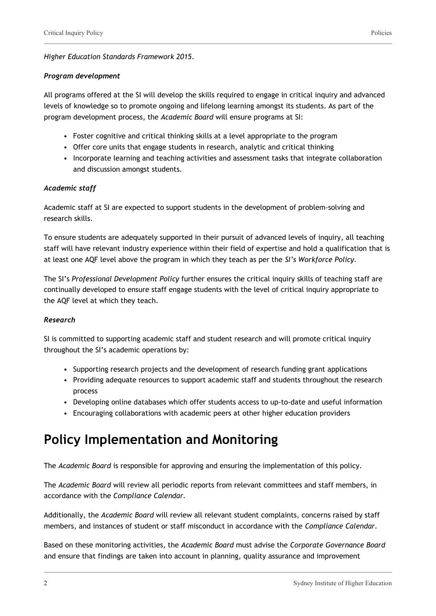#### *Higher Education Standards Framework 2015*.

#### *Program development*

All programs offered at the SI will develop the skills required to engage in critical inquiry and advanced levels of knowledge so to promote ongoing and lifelong learning amongst its students. As part of the program development process, the *Academic Board* will ensure programs at SI:

- Foster cognitive and critical thinking skills at a level appropriate to the program
- Offer core units that engage students in research, analytic and critical thinking
- Incorporate learning and teaching activities and assessment tasks that integrate collaboration and discussion amongst students.

#### *Academic staff*

Academic staff at SI are expected to support students in the development of problem-solving and research skills.

To ensure students are adequately supported in their pursuit of advanced levels of inquiry, all teaching staff will have relevant industry experience within their field of expertise and hold a qualification that is at least one AQF level above the program in which they teach as per the *SI's Workforce Policy.*

The SI's *Professional Development Policy* further ensures the critical inquiry skills of teaching staff are continually developed to ensure staff engage students with the level of critical inquiry appropriate to the AQF level at which they teach.

#### *Research*

SI is committed to supporting academic staff and student research and will promote critical inquiry throughout the SI's academic operations by:

- Supporting research projects and the development of research funding grant applications
- Providing adequate resources to support academic staff and students throughout the research process
- Developing online databases which offer students access to up-to-date and useful information
- Encouraging collaborations with academic peers at other higher education providers

### **Policy Implementation and Monitoring**

The *Academic Board* is responsible for approving and ensuring the implementation of this policy.

The *Academic Board* will review all periodic reports from relevant committees and staff members, in accordance with the *Compliance Calendar.*

Additionally, the *Academic Board* will review all relevant student complaints, concerns raised by staff members, and instances of student or staff misconduct in accordance with the *Compliance Calendar.*

Based on these monitoring activities, the *Academic Board* must advise the *Corporate Governance Board* and ensure that findings are taken into account in planning, quality assurance and improvement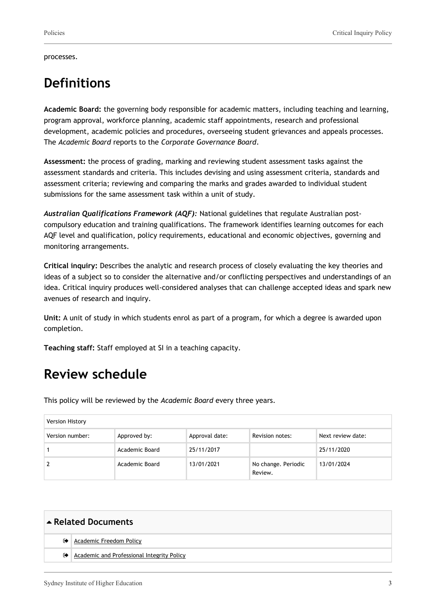processes.

### **Definitions**

**Academic Board:** the governing body responsible for academic matters, including teaching and learning, program approval, workforce planning, academic staff appointments, research and professional development, academic policies and procedures, overseeing student grievances and appeals processes. The *Academic Board* reports to the *Corporate Governance Board*.

**Assessment:** the process of grading, marking and reviewing student assessment tasks against the assessment standards and criteria. This includes devising and using assessment criteria, standards and assessment criteria; reviewing and comparing the marks and grades awarded to individual student submissions for the same assessment task within a unit of study.

*Australian Qualifications Framework (AQF):* National guidelines that regulate Australian postcompulsory education and training qualifications. The framework identifies learning outcomes for each AQF level and qualification, policy requirements, educational and economic objectives, governing and monitoring arrangements.

**Critical inquiry:** Describes the analytic and research process of closely evaluating the key theories and ideas of a subject so to consider the alternative and/or conflicting perspectives and understandings of an idea. Critical inquiry produces well-considered analyses that can challenge accepted ideas and spark new avenues of research and inquiry.

**Unit:** A unit of study in which students enrol as part of a program, for which a degree is awarded upon completion.

**Teaching staff:** Staff employed at SI in a teaching capacity.

### **Review schedule**

This policy will be reviewed by the *Academic Board* every three years.

| Version History |                |                |                                |                   |
|-----------------|----------------|----------------|--------------------------------|-------------------|
| Version number: | Approved by:   | Approval date: | Revision notes:                | Next review date: |
|                 | Academic Board | 25/11/2017     |                                | 25/11/2020        |
|                 | Academic Board | 13/01/2021     | No change. Periodic<br>Review. | 13/01/2024        |

| Related Documents |                                            |  |
|-------------------|--------------------------------------------|--|
| ☞                 | Academic Freedom Policy                    |  |
| ☞                 | Academic and Professional Integrity Policy |  |